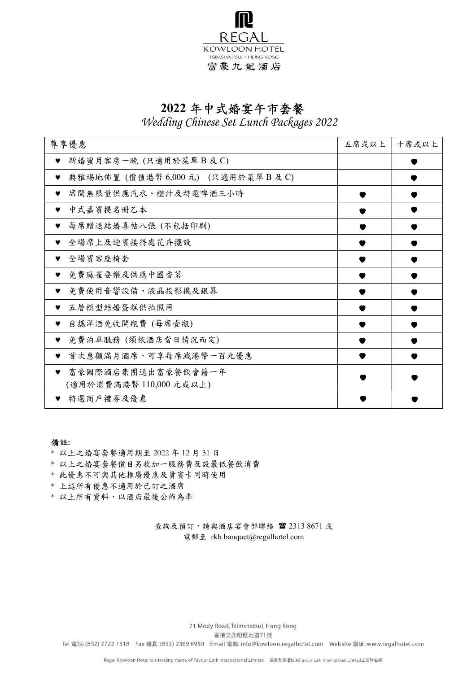

## 2022 年中式婚宴午市套餐

Wedding Chinese Set Lunch Packages 2022

| 尊享優惠                                   | 五席或以上 | 十席或以上 |
|----------------------------------------|-------|-------|
| 新婚蜜月客房一晚 (只適用於菜單B及C)<br>♥              |       |       |
| 典雅埸地佈置 (價值港幣 6,000 元) (只適用於菜單B及C)<br>v |       |       |
| 席間無限量供應汽水、橙汁及特選啤酒三小時<br>♥              |       |       |
| 中式嘉賓提名冊乙本<br>♥                         |       |       |
| 每席贈送結婚喜帖八張 (不包括印刷)<br>♥                |       |       |
| 全場席上及迎賓接待處花卉擺設                         |       |       |
| 全場賓客座椅套<br>v                           |       |       |
| 免費麻雀耍樂及供應中國香茗<br>♥                     |       |       |
| 免費使用音響設備、液晶投影機及銀幕<br>♥                 |       |       |
| 五層模型結婚蛋糕供拍照用<br>♥                      |       |       |
| 自攜洋酒免收開瓶費 (每席壹瓶)                       |       |       |
| 免費泊車服務 (須依酒店當日情況而定)<br>♥               |       |       |
| 首次惠顧滿月酒席,可享每席減港幣一百元優惠<br>♥             |       |       |
| 富豪國際酒店集團送出富豪餐飲會籍一年<br>♥                |       |       |
| (適用於消費滿港幣110,000元或以上)                  |       |       |
| 特選商戶禮券及優惠<br>v                         |       |       |

#### 備註:

- \* 以上之婚宴套餐適用期至 2022 年 12 月 31 日
- \* 以上之婚宴套餐價目另收加一服務費及設最低餐飲消費
- \* 此優惠不可與其他推廣優惠及貴賓卡同時使用
- \* 上述所有優惠不適用於已訂之酒席
- \* 以上所有資料,以酒店最後公佈為準

查詢及預訂,請與酒店宴會部聯絡 2313 8671 或 電郵至 rkh.banquet@regalhotel.com

71 Mody Road, Tsimshatsui, Hong Kong

香港尖沙咀麼地道71號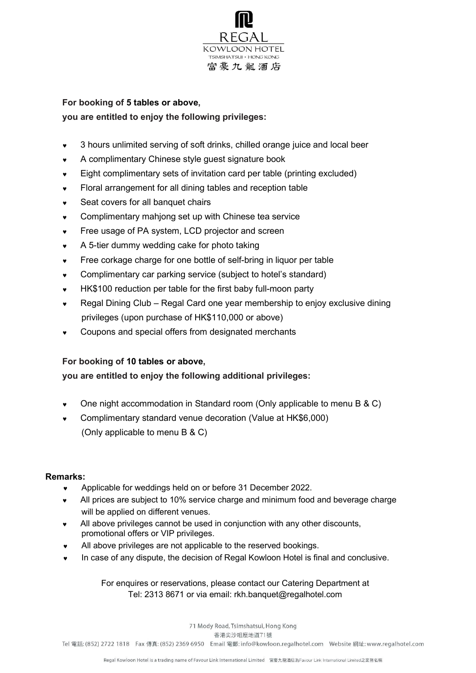

## For booking of 5 tables or above, you are entitled to enjoy the following privileges:

- 3 hours unlimited serving of soft drinks, chilled orange juice and local beer
- A complimentary Chinese style guest signature book
- Eight complimentary sets of invitation card per table (printing excluded)
- Floral arrangement for all dining tables and reception table
- Seat covers for all banquet chairs
- Complimentary mahjong set up with Chinese tea service
- **Free usage of PA system, LCD projector and screen**
- A 5-tier dummy wedding cake for photo taking
- Free corkage charge for one bottle of self-bring in liquor per table
- Complimentary car parking service (subject to hotel's standard)
- HK\$100 reduction per table for the first baby full-moon party
- Regal Dining Club Regal Card one year membership to enjoy exclusive dining privileges (upon purchase of HK\$110,000 or above)
- Coupons and special offers from designated merchants

### For booking of 10 tables or above,

### you are entitled to enjoy the following additional privileges:

- One night accommodation in Standard room (Only applicable to menu B & C)
- Complimentary standard venue decoration (Value at HK\$6,000) (Only applicable to menu B & C)

#### Remarks:

- Applicable for weddings held on or before 31 December 2022.
- All prices are subject to 10% service charge and minimum food and beverage charge will be applied on different venues.
- All above privileges cannot be used in conjunction with any other discounts, promotional offers or VIP privileges.
- All above privileges are not applicable to the reserved bookings.
- In case of any dispute, the decision of Regal Kowloon Hotel is final and conclusive.

For enquires or reservations, please contact our Catering Department at Tel: 2313 8671 or via email: rkh.banquet@regalhotel.com

71 Mody Road, Tsimshatsui, Hong Kong

香港尖沙咀麼地道71號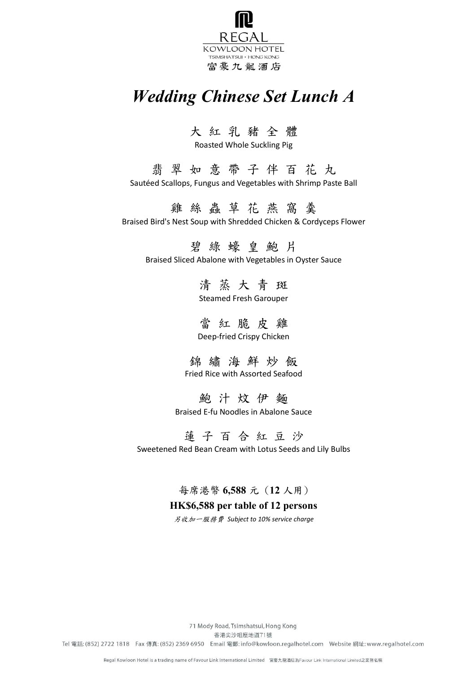

# Wedding Chinese Set Lunch A

## 大 紅 乳 豬 全 體

Roasted Whole Suckling Pig

翡 翠 如 意 帶 子 伴 百 花 丸 Sautéed Scallops, Fungus and Vegetables with Shrimp Paste Ball

雞 絲 蟲 草 花 燕 窩 羹 Braised Bird's Nest Soup with Shredded Chicken & Cordyceps Flower

碧 綠 蠔 皇 鮑 片

Braised Sliced Abalone with Vegetables in Oyster Sauce

清 蒸 大 青 斑 Steamed Fresh Garouper

當 紅 脆 皮 雞 Deep-fried Crispy Chicken

錦 繡 海 鮮 炒 飯 Fried Rice with Assorted Seafood

鮑 汁 炆 伊 麵 Braised E-fu Noodles in Abalone Sauce

蓮 子 百 合 紅 豆 沙 Sweetened Red Bean Cream with Lotus Seeds and Lily Bulbs

每席港幣 6,588 元 (12 人用)

## HK\$6,588 per table of 12 persons

另收加一服務費 Subject to 10% service charge

71 Mody Road, Tsimshatsui, Hong Kong

香港尖沙咀麼地道71號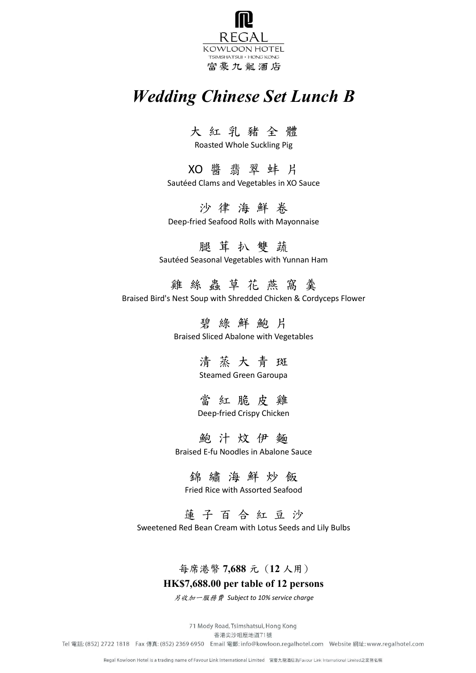

# Wedding Chinese Set Lunch B

大 紅 乳 豬 全 體

Roasted Whole Suckling Pig

XO 醬 翡 翠 蚌 片 Sautéed Clams and Vegetables in XO Sauce

沙 律 海 鮮 卷 Deep-fried Seafood Rolls with Mayonnaise

腿 茸 扒 雙 蔬 Sautéed Seasonal Vegetables with Yunnan Ham

雞 絲 蟲 草 花 燕 窩 羹 Braised Bird's Nest Soup with Shredded Chicken & Cordyceps Flower

> 碧 綠 鮮 鮑 片 Braised Sliced Abalone with Vegetables

> > 清 蒸 大 青 斑 Steamed Green Garoupa

當 紅 脆 皮 雞 Deep-fried Crispy Chicken

鮑 汁 炆 伊 麵 Braised E-fu Noodles in Abalone Sauce

錦 繡 海 鮮 炒 飯

Fried Rice with Assorted Seafood

蓮 子 百 合 紅 豆 沙 Sweetened Red Bean Cream with Lotus Seeds and Lily Bulbs

## 每席港幣 7,688 元 (12 人用)

## HK\$7,688.00 per table of 12 persons

另收加一服務費 Subject to 10% service charge

71 Mody Road, Tsimshatsui, Hong Kong

香港尖沙咀麼地道71號